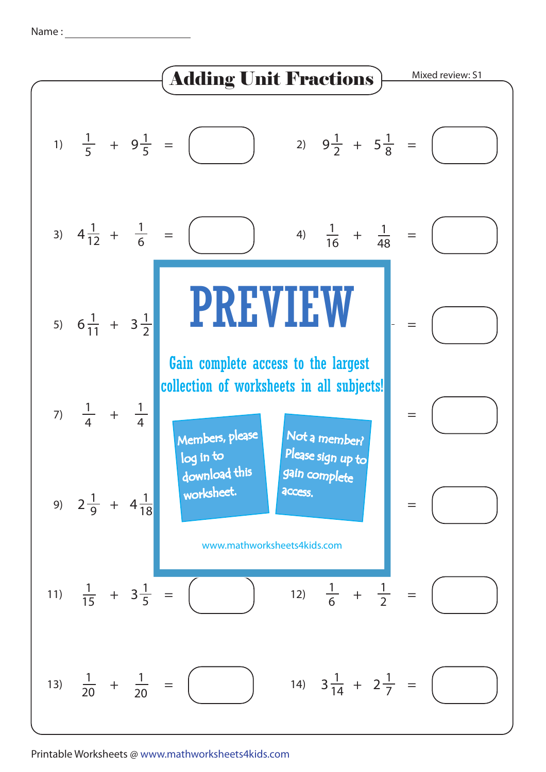